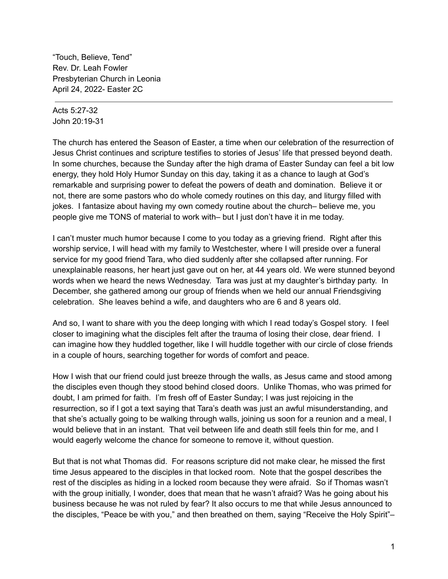"Touch, Believe, Tend" Rev. Dr. Leah Fowler Presbyterian Church in Leonia April 24, 2022- Easter 2C

Acts 5:27-32 John 20:19-31

The church has entered the Season of Easter, a time when our celebration of the resurrection of Jesus Christ continues and scripture testifies to stories of Jesus' life that pressed beyond death. In some churches, because the Sunday after the high drama of Easter Sunday can feel a bit low energy, they hold Holy Humor Sunday on this day, taking it as a chance to laugh at God's remarkable and surprising power to defeat the powers of death and domination. Believe it or not, there are some pastors who do whole comedy routines on this day, and liturgy filled with jokes. I fantasize about having my own comedy routine about the church– believe me, you people give me TONS of material to work with– but I just don't have it in me today.

I can't muster much humor because I come to you today as a grieving friend. Right after this worship service, I will head with my family to Westchester, where I will preside over a funeral service for my good friend Tara, who died suddenly after she collapsed after running. For unexplainable reasons, her heart just gave out on her, at 44 years old. We were stunned beyond words when we heard the news Wednesday. Tara was just at my daughter's birthday party. In December, she gathered among our group of friends when we held our annual Friendsgiving celebration. She leaves behind a wife, and daughters who are 6 and 8 years old.

And so, I want to share with you the deep longing with which I read today's Gospel story. I feel closer to imagining what the disciples felt after the trauma of losing their close, dear friend. I can imagine how they huddled together, like I will huddle together with our circle of close friends in a couple of hours, searching together for words of comfort and peace.

How I wish that our friend could just breeze through the walls, as Jesus came and stood among the disciples even though they stood behind closed doors. Unlike Thomas, who was primed for doubt, I am primed for faith. I'm fresh off of Easter Sunday; I was just rejoicing in the resurrection, so if I got a text saying that Tara's death was just an awful misunderstanding, and that she's actually going to be walking through walls, joining us soon for a reunion and a meal, I would believe that in an instant. That veil between life and death still feels thin for me, and I would eagerly welcome the chance for someone to remove it, without question.

But that is not what Thomas did. For reasons scripture did not make clear, he missed the first time Jesus appeared to the disciples in that locked room. Note that the gospel describes the rest of the disciples as hiding in a locked room because they were afraid. So if Thomas wasn't with the group initially, I wonder, does that mean that he wasn't afraid? Was he going about his business because he was not ruled by fear? It also occurs to me that while Jesus announced to the disciples, "Peace be with you," and then breathed on them, saying "Receive the Holy Spirit"–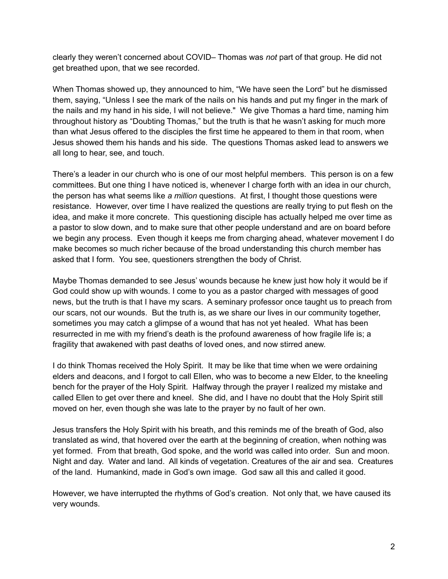clearly they weren't concerned about COVID– Thomas was *not* part of that group. He did not get breathed upon, that we see recorded.

When Thomas showed up, they announced to him, "We have seen the Lord" but he dismissed them, saying, "Unless I see the mark of the nails on his hands and put my finger in the mark of the nails and my hand in his side, I will not believe." We give Thomas a hard time, naming him throughout history as "Doubting Thomas," but the truth is that he wasn't asking for much more than what Jesus offered to the disciples the first time he appeared to them in that room, when Jesus showed them his hands and his side. The questions Thomas asked lead to answers we all long to hear, see, and touch.

There's a leader in our church who is one of our most helpful members. This person is on a few committees. But one thing I have noticed is, whenever I charge forth with an idea in our church, the person has what seems like *a million* questions. At first, I thought those questions were resistance. However, over time I have realized the questions are really trying to put flesh on the idea, and make it more concrete. This questioning disciple has actually helped me over time as a pastor to slow down, and to make sure that other people understand and are on board before we begin any process. Even though it keeps me from charging ahead, whatever movement I do make becomes so much richer because of the broad understanding this church member has asked that I form. You see, questioners strengthen the body of Christ.

Maybe Thomas demanded to see Jesus' wounds because he knew just how holy it would be if God could show up with wounds. I come to you as a pastor charged with messages of good news, but the truth is that I have my scars. A seminary professor once taught us to preach from our scars, not our wounds. But the truth is, as we share our lives in our community together, sometimes you may catch a glimpse of a wound that has not yet healed. What has been resurrected in me with my friend's death is the profound awareness of how fragile life is; a fragility that awakened with past deaths of loved ones, and now stirred anew.

I do think Thomas received the Holy Spirit. It may be like that time when we were ordaining elders and deacons, and I forgot to call Ellen, who was to become a new Elder, to the kneeling bench for the prayer of the Holy Spirit. Halfway through the prayer I realized my mistake and called Ellen to get over there and kneel. She did, and I have no doubt that the Holy Spirit still moved on her, even though she was late to the prayer by no fault of her own.

Jesus transfers the Holy Spirit with his breath, and this reminds me of the breath of God, also translated as wind, that hovered over the earth at the beginning of creation, when nothing was yet formed. From that breath, God spoke, and the world was called into order. Sun and moon. Night and day. Water and land. All kinds of vegetation. Creatures of the air and sea. Creatures of the land. Humankind, made in God's own image. God saw all this and called it good.

However, we have interrupted the rhythms of God's creation. Not only that, we have caused its very wounds.